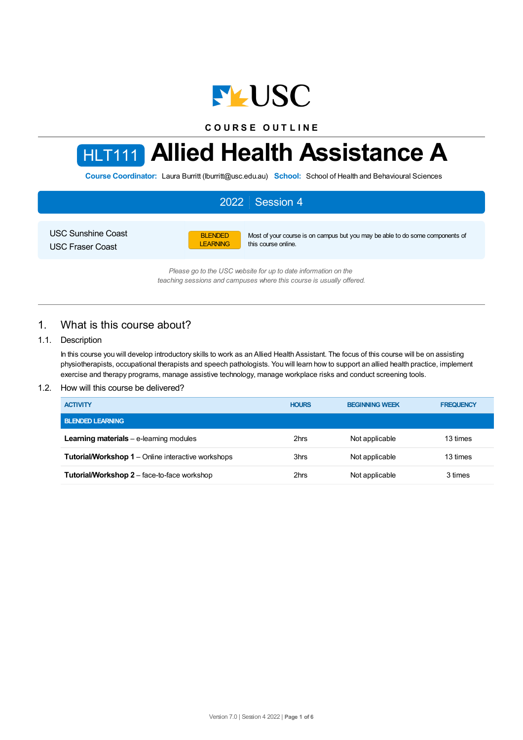

**C O U R S E O U T L I N E**

# HLT111 **Allied Health Assistance A**

**Course Coordinator:** Laura Burritt (lburritt@usc.edu.au) **School:** School of Health and Behavioural Sciences

#### 2022 Session 4 USC Sunshine Coast USC Fraser Coast BLENDED LEARNING Most of your course is on campus but you may be able to do some components of this course online.

*Please go to the USC website for up to date information on the teaching sessions and campuses where this course is usually offered.*

# 1. What is this course about?

## 1.1. Description

In this course you will develop introductory skills to work as an Allied Health Assistant. The focus of this course will be on assisting physiotherapists, occupational therapists and speech pathologists. You will learn how to support an allied health practice, implement exercise and therapy programs, manage assistive technology, manage workplace risks and conduct screening tools.

#### 1.2. How will this course be delivered?

| <b>ACTIVITY</b>                                           | <b>HOURS</b> | <b>BEGINNING WEEK</b> | <b>FREQUENCY</b> |
|-----------------------------------------------------------|--------------|-----------------------|------------------|
| <b>BLENDED LEARNING</b>                                   |              |                       |                  |
| <b>Learning materials</b> $-$ e-learning modules          | 2hrs         | Not applicable        | 13 times         |
| <b>Tutorial/Workshop 1</b> – Online interactive workshops | 3hrs         | Not applicable        | 13 times         |
| <b>Tutorial/Workshop 2</b> – face-to-face workshop        | 2hrs         | Not applicable        | 3 times          |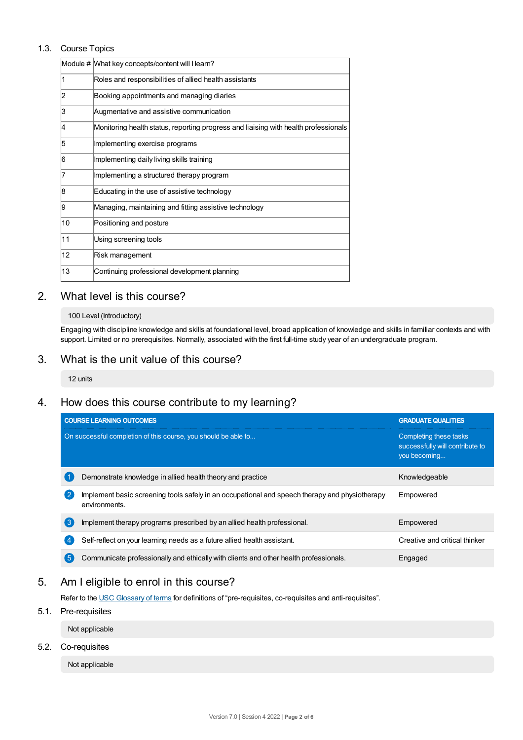#### 1.3. Course Topics

|    | Module # What key concepts/content will I learn?                                    |
|----|-------------------------------------------------------------------------------------|
| 11 | Roles and responsibilities of allied health assistants                              |
| 2  | Booking appointments and managing diaries                                           |
| 3  | Augmentative and assistive communication                                            |
| 4  | Monitoring health status, reporting progress and liaising with health professionals |
| 5  | Implementing exercise programs                                                      |
| 6  | Implementing daily living skills training                                           |
| 17 | Implementing a structured therapy program                                           |
| 8  | Educating in the use of assistive technology                                        |
| 9  | Managing, maintaining and fitting assistive technology                              |
| 10 | Positioning and posture                                                             |
| 11 | Using screening tools                                                               |
| 12 | Risk management                                                                     |
| 13 | Continuing professional development planning                                        |

## 2. What level is this course?

#### 100 Level (Introductory)

Engaging with discipline knowledge and skills at foundational level, broad application of knowledge and skills in familiar contexts and with support. Limited or no prerequisites. Normally, associated with the first full-time study year of an undergraduate program.

## 3. What is the unit value of this course?

12 units

# 4. How does this course contribute to my learning?

| <b>COURSE LEARNING OUTCOMES</b>                                                                                              | <b>GRADUATE QUALITIES</b>                                                 |
|------------------------------------------------------------------------------------------------------------------------------|---------------------------------------------------------------------------|
| On successful completion of this course, you should be able to                                                               | Completing these tasks<br>successfully will contribute to<br>you becoming |
| Demonstrate knowledge in allied health theory and practice                                                                   | Knowledgeable                                                             |
| $\cdot$ 2<br>Implement basic screening tools safely in an occupational and speech therapy and physiotherapy<br>environments. | Empowered                                                                 |
| 〔3<br>Implement therapy programs prescribed by an allied health professional.                                                | Empowered                                                                 |
| Self-reflect on your learning needs as a future allied health assistant.                                                     | Creative and critical thinker                                             |
| (5<br>Communicate professionally and ethically with clients and other health professionals.                                  | Engaged                                                                   |

# 5. Am Ieligible to enrol in this course?

Refer to the USC [Glossary](https://www.usc.edu.au/about/policies-and-procedures/glossary-of-terms-for-policy-and-procedures) of terms for definitions of "pre-requisites, co-requisites and anti-requisites".

5.1. Pre-requisites

Not applicable

5.2. Co-requisites

Not applicable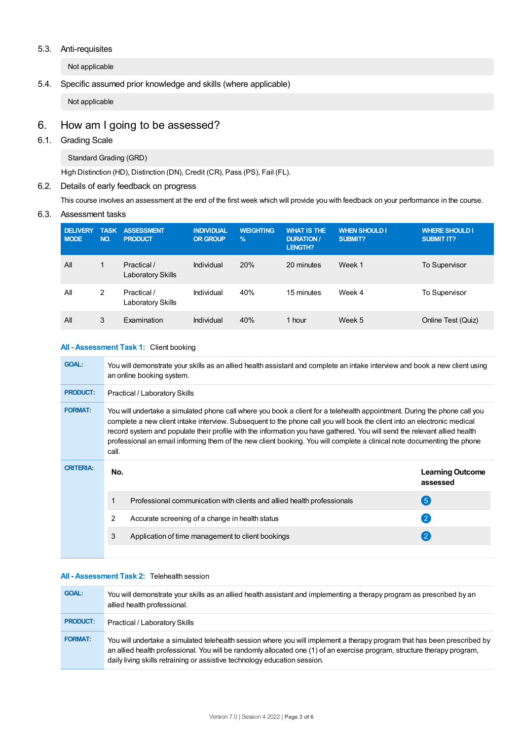#### 5.3. Anti-requisites

Not applicable

## 5.4. Specific assumed prior knowledge and skills (where applicable)

Not applicable

# 6. How am Igoing to be assessed?

## 6.1. Grading Scale

Standard Grading (GRD)

High Distinction (HD), Distinction (DN), Credit (CR), Pass (PS), Fail (FL).

## 6.2. Details of early feedback on progress

This course involves an assessment at the end of the first week which will provide you with feedback on your performance in the course.

#### 6.3. Assessment tasks

| <b>DELIVERY</b><br><b>MODE</b> | <b>TASK</b><br>NO. | <b>ASSESSMENT</b><br><b>PRODUCT</b>     | <b>INDIVIDUAL</b><br><b>OR GROUP</b> | <b>WEIGHTING</b><br>$\frac{9}{6}$ | <b>WHAT IS THE</b><br><b>DURATION /</b><br>LENGTH? | <b>WHEN SHOULD I</b><br><b>SUBMIT?</b> | <b>WHERE SHOULD I</b><br><b>SUBMIT IT?</b> |
|--------------------------------|--------------------|-----------------------------------------|--------------------------------------|-----------------------------------|----------------------------------------------------|----------------------------------------|--------------------------------------------|
| All                            | 1                  | Practical /<br><b>Laboratory Skills</b> | Individual                           | 20%                               | 20 minutes                                         | Week 1                                 | <b>To Supervisor</b>                       |
| All                            | 2                  | Practical /<br>Laboratory Skills        | Individual                           | 40%                               | 15 minutes                                         | Week 4                                 | To Supervisor                              |
| All                            | 3                  | Examination                             | Individual                           | 40%                               | 1 hour                                             | Week 5                                 | Online Test (Quiz)                         |

#### **All - Assessment Task 1:** Client booking

| <b>GOAL:</b>     | You will demonstrate your skills as an allied health assistant and complete an intake interview and book a new client using<br>an online booking system.                                                                                                                                                                                                                                                                                                                                                               |                                     |  |  |  |
|------------------|------------------------------------------------------------------------------------------------------------------------------------------------------------------------------------------------------------------------------------------------------------------------------------------------------------------------------------------------------------------------------------------------------------------------------------------------------------------------------------------------------------------------|-------------------------------------|--|--|--|
| <b>PRODUCT:</b>  | Practical / Laboratory Skills                                                                                                                                                                                                                                                                                                                                                                                                                                                                                          |                                     |  |  |  |
| <b>FORMAT:</b>   | You will undertake a simulated phone call where you book a client for a telehealth appointment. During the phone call you<br>complete a new client intake interview. Subsequent to the phone call you will book the client into an electronic medical<br>record system and populate their profile with the information you have gathered. You will send the relevant allied health<br>professional an email informing them of the new client booking. You will complete a clinical note documenting the phone<br>call. |                                     |  |  |  |
| <b>CRITERIA:</b> | No.                                                                                                                                                                                                                                                                                                                                                                                                                                                                                                                    | <b>Learning Outcome</b><br>assessed |  |  |  |
|                  | Professional communication with clients and allied health professionals                                                                                                                                                                                                                                                                                                                                                                                                                                                | $\left(5\right)$                    |  |  |  |
|                  | 2<br>Accurate screening of a change in health status                                                                                                                                                                                                                                                                                                                                                                                                                                                                   | $\overline{2}$                      |  |  |  |
|                  | 3<br>Application of time management to client bookings                                                                                                                                                                                                                                                                                                                                                                                                                                                                 | $\left( 2\right)$                   |  |  |  |
|                  |                                                                                                                                                                                                                                                                                                                                                                                                                                                                                                                        |                                     |  |  |  |

## **All - Assessment Task 2:** Telehealth session

| <b>GOAL:</b>    | You will demonstrate your skills as an allied health assistant and implementing a therapy program as prescribed by an<br>allied health professional.                                                                                                                                                                              |
|-----------------|-----------------------------------------------------------------------------------------------------------------------------------------------------------------------------------------------------------------------------------------------------------------------------------------------------------------------------------|
| <b>PRODUCT:</b> | Practical / Laboratory Skills                                                                                                                                                                                                                                                                                                     |
| <b>FORMAT:</b>  | You will undertake a simulated telehealth session where you will implement a therapy program that has been prescribed by<br>an allied health professional. You will be randomly allocated one (1) of an exercise program, structure therapy program,<br>daily living skills retraining or assistive technology education session. |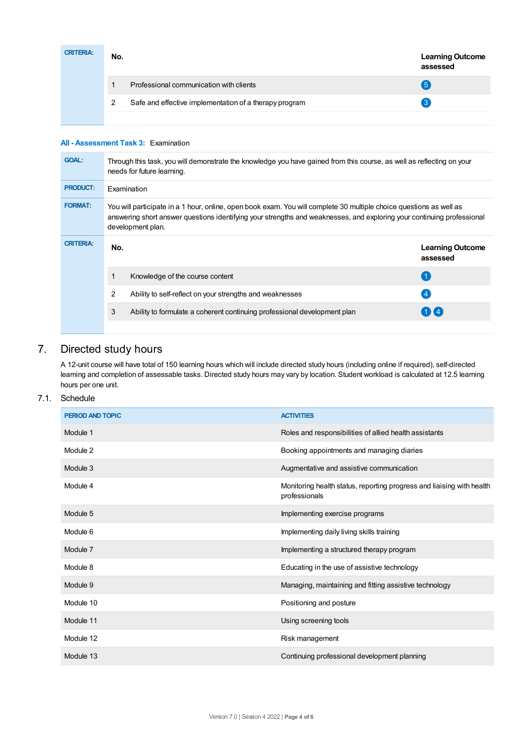| <b>CRITERIA:</b> | No. | <b>Learning Outcome</b><br>assessed                    |                   |
|------------------|-----|--------------------------------------------------------|-------------------|
|                  |     | Professional communication with clients                | $5^{\circ}$       |
|                  |     | Safe and effective implementation of a therapy program | $\lceil 3 \rceil$ |
|                  |     |                                                        |                   |

#### **All - Assessment Task 3:** Examination

| <b>GOAL:</b>     | Through this task, you will demonstrate the knowledge you have gained from this course, as well as reflecting on your<br>needs for future learning.                                                                                                                |                                                                          |                                     |  |  |
|------------------|--------------------------------------------------------------------------------------------------------------------------------------------------------------------------------------------------------------------------------------------------------------------|--------------------------------------------------------------------------|-------------------------------------|--|--|
| <b>PRODUCT:</b>  | Examination                                                                                                                                                                                                                                                        |                                                                          |                                     |  |  |
| <b>FORMAT:</b>   | You will participate in a 1 hour, online, open book exam. You will complete 30 multiple choice questions as well as<br>answering short answer questions identifying your strengths and weaknesses, and exploring your continuing professional<br>development plan. |                                                                          |                                     |  |  |
| <b>CRITERIA:</b> | No.                                                                                                                                                                                                                                                                |                                                                          | <b>Learning Outcome</b><br>assessed |  |  |
|                  |                                                                                                                                                                                                                                                                    | Knowledge of the course content                                          |                                     |  |  |
|                  | 2                                                                                                                                                                                                                                                                  | Ability to self-reflect on your strengths and weaknesses                 | $\overline{4}$                      |  |  |
|                  | 3                                                                                                                                                                                                                                                                  | Ability to formulate a coherent continuing professional development plan | $1$ K 4                             |  |  |
|                  |                                                                                                                                                                                                                                                                    |                                                                          |                                     |  |  |

# 7. Directed study hours

A 12-unit course will have total of 150 learning hours which will include directed study hours (including online if required), self-directed learning and completion of assessable tasks. Directed study hours may vary by location. Student workload is calculated at 12.5 learning hours per one unit.

## 7.1. Schedule

| <b>PERIOD AND TOPIC</b> | <b>ACTIVITIES</b>                                                                      |
|-------------------------|----------------------------------------------------------------------------------------|
| Module 1                | Roles and responsibilities of allied health assistants                                 |
| Module 2                | Booking appointments and managing diaries                                              |
| Module 3                | Augmentative and assistive communication                                               |
| Module 4                | Monitoring health status, reporting progress and liaising with health<br>professionals |
| Module 5                | Implementing exercise programs                                                         |
| Module 6                | Implementing daily living skills training                                              |
| Module 7                | Implementing a structured therapy program                                              |
| Module 8                | Educating in the use of assistive technology                                           |
| Module 9                | Managing, maintaining and fitting assistive technology                                 |
| Module 10               | Positioning and posture                                                                |
| Module 11               | Using screening tools                                                                  |
| Module 12               | Risk management                                                                        |
| Module 13               | Continuing professional development planning                                           |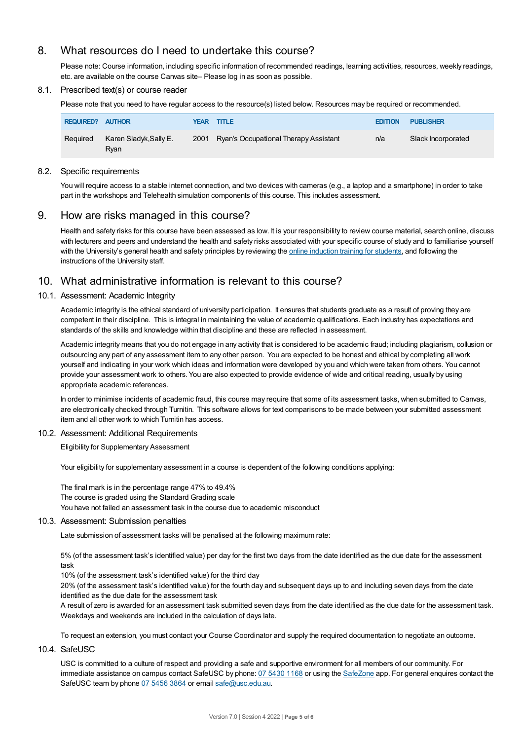# 8. What resources do I need to undertake this course?

Please note: Course information, including specific information of recommended readings, learning activities, resources, weekly readings, etc. are available on the course Canvas site– Please log in as soon as possible.

#### 8.1. Prescribed text(s) or course reader

Please note that you need to have regular access to the resource(s) listed below. Resources may be required or recommended.

| <b>REQUIRED? AUTHOR</b> |                                | YEAR TITLE                                 | <b>EDITION</b> | <b>PUBLISHER</b>   |
|-------------------------|--------------------------------|--------------------------------------------|----------------|--------------------|
| Required                | Karen Sladyk, Sally E.<br>Rvan | 2001 Ryan's Occupational Therapy Assistant | n/a            | Slack Incorporated |

#### 8.2. Specific requirements

You will require access to a stable internet connection, and two devices with cameras (e.g., a laptop and a smartphone) in order to take part in the workshops and Telehealth simulation components of this course. This includes assessment.

## 9. How are risks managed in this course?

Health and safety risks for this course have been assessed as low. It is your responsibility to review course material, search online, discuss with lecturers and peers and understand the health and safety risks associated with your specific course of study and to familiarise yourself with the University's general health and safety principles by reviewing the online [induction](https://online.usc.edu.au/webapps/blackboard/content/listContentEditable.jsp?content_id=_632657_1&course_id=_14432_1) training for students, and following the instructions of the University staff.

## 10. What administrative information is relevant to this course?

#### 10.1. Assessment: Academic Integrity

Academic integrity is the ethical standard of university participation. It ensures that students graduate as a result of proving they are competent in their discipline. This is integral in maintaining the value of academic qualifications. Each industry has expectations and standards of the skills and knowledge within that discipline and these are reflected in assessment.

Academic integrity means that you do not engage in any activity that is considered to be academic fraud; including plagiarism, collusion or outsourcing any part of any assessment item to any other person. You are expected to be honest and ethical by completing all work yourself and indicating in your work which ideas and information were developed by you and which were taken from others. You cannot provide your assessment work to others.You are also expected to provide evidence of wide and critical reading, usually by using appropriate academic references.

In order to minimise incidents of academic fraud, this course may require that some of its assessment tasks, when submitted to Canvas, are electronically checked through Turnitin. This software allows for text comparisons to be made between your submitted assessment item and all other work to which Turnitin has access.

#### 10.2. Assessment: Additional Requirements

Eligibility for Supplementary Assessment

Your eligibility for supplementary assessment in a course is dependent of the following conditions applying:

The final mark is in the percentage range 47% to 49.4% The course is graded using the Standard Grading scale You have not failed an assessment task in the course due to academic misconduct

#### 10.3. Assessment: Submission penalties

Late submission of assessment tasks will be penalised at the following maximum rate:

5% (of the assessment task's identified value) per day for the first two days from the date identified as the due date for the assessment task

10% (of the assessment task's identified value) for the third day

20% (of the assessment task's identified value) for the fourth day and subsequent days up to and including seven days from the date identified as the due date for the assessment task

A result of zero is awarded for an assessment task submitted seven days from the date identified as the due date for the assessment task. Weekdays and weekends are included in the calculation of days late.

To request an extension, you must contact your Course Coordinator and supply the required documentation to negotiate an outcome.

#### 10.4. SafeUSC

USC is committed to a culture of respect and providing a safe and supportive environment for all members of our community. For immediate assistance on campus contact SafeUSC by phone: 07 [5430](tel:07%205430%201168) 1168 or using the [SafeZone](https://www.safezoneapp.com) app. For general enquires contact the SafeUSC team by phone 07 [5456](tel:07%205456%203864) 3864 or email [safe@usc.edu.au](mailto:safe@usc.edu.au).